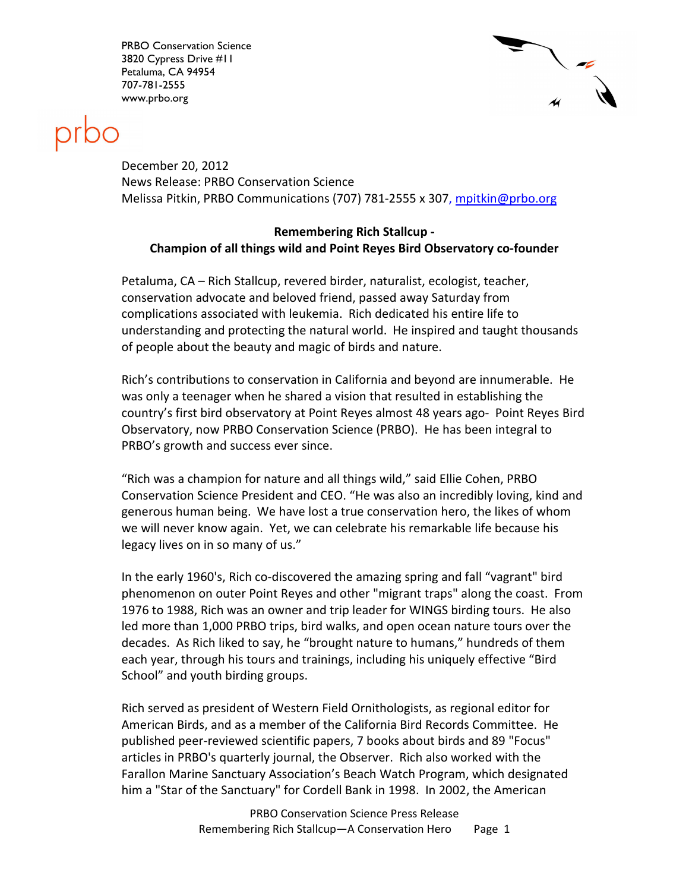PRBO Conservation Science 3820 Cypress Drive #11 Petaluma, CA 94954 707-781-2555 www.prbo.org





December 20, 2012 News Release: PRBO Conservation Science Melissa Pitkin, PRBO Communications (707) 781-2555 x 307, mpitkin@prbo.org

## Remembering Rich Stallcup - Champion of all things wild and Point Reyes Bird Observatory co-founder

Petaluma, CA – Rich Stallcup, revered birder, naturalist, ecologist, teacher, conservation advocate and beloved friend, passed away Saturday from complications associated with leukemia. Rich dedicated his entire life to understanding and protecting the natural world. He inspired and taught thousands of people about the beauty and magic of birds and nature.

Rich's contributions to conservation in California and beyond are innumerable. He was only a teenager when he shared a vision that resulted in establishing the country's first bird observatory at Point Reyes almost 48 years ago- Point Reyes Bird Observatory, now PRBO Conservation Science (PRBO). He has been integral to PRBO's growth and success ever since.

"Rich was a champion for nature and all things wild," said Ellie Cohen, PRBO Conservation Science President and CEO. "He was also an incredibly loving, kind and generous human being. We have lost a true conservation hero, the likes of whom we will never know again. Yet, we can celebrate his remarkable life because his legacy lives on in so many of us."

In the early 1960's, Rich co-discovered the amazing spring and fall "vagrant" bird phenomenon on outer Point Reyes and other "migrant traps" along the coast. From 1976 to 1988, Rich was an owner and trip leader for WINGS birding tours. He also led more than 1,000 PRBO trips, bird walks, and open ocean nature tours over the decades. As Rich liked to say, he "brought nature to humans," hundreds of them each year, through his tours and trainings, including his uniquely effective "Bird School" and youth birding groups.

Rich served as president of Western Field Ornithologists, as regional editor for American Birds, and as a member of the California Bird Records Committee. He published peer-reviewed scientific papers, 7 books about birds and 89 "Focus" articles in PRBO's quarterly journal, the Observer. Rich also worked with the Farallon Marine Sanctuary Association's Beach Watch Program, which designated him a "Star of the Sanctuary" for Cordell Bank in 1998. In 2002, the American